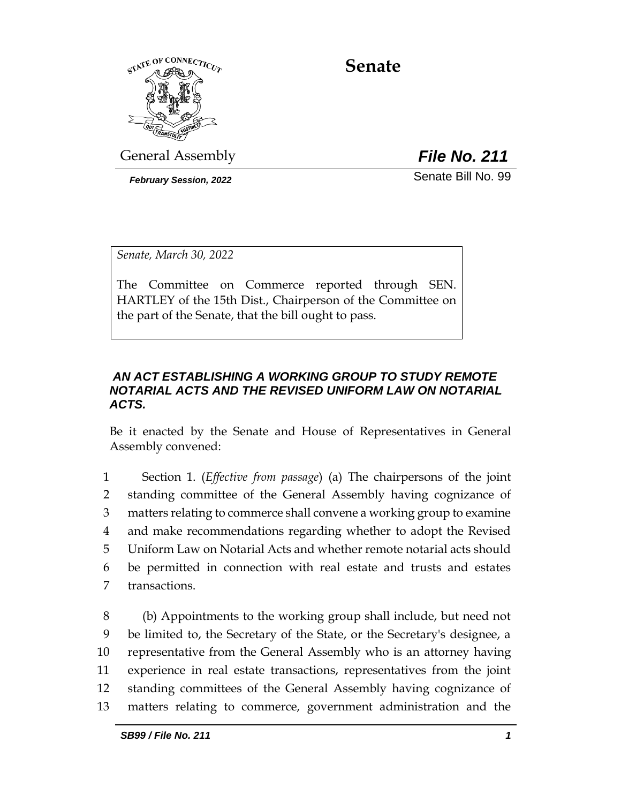

**Senate**

General Assembly *File No. 211*

*February Session, 2022* Senate Bill No. 99

*Senate, March 30, 2022*

The Committee on Commerce reported through SEN. HARTLEY of the 15th Dist., Chairperson of the Committee on the part of the Senate, that the bill ought to pass.

## *AN ACT ESTABLISHING A WORKING GROUP TO STUDY REMOTE NOTARIAL ACTS AND THE REVISED UNIFORM LAW ON NOTARIAL ACTS.*

Be it enacted by the Senate and House of Representatives in General Assembly convened:

 Section 1. (*Effective from passage*) (a) The chairpersons of the joint standing committee of the General Assembly having cognizance of matters relating to commerce shall convene a working group to examine and make recommendations regarding whether to adopt the Revised Uniform Law on Notarial Acts and whether remote notarial acts should be permitted in connection with real estate and trusts and estates transactions.

 (b) Appointments to the working group shall include, but need not be limited to, the Secretary of the State, or the Secretary's designee, a representative from the General Assembly who is an attorney having experience in real estate transactions, representatives from the joint standing committees of the General Assembly having cognizance of matters relating to commerce, government administration and the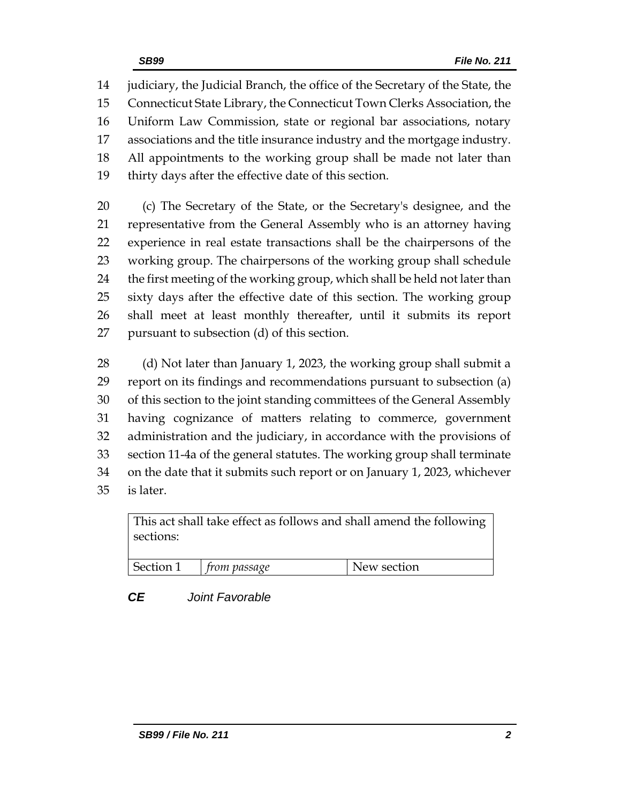judiciary, the Judicial Branch, the office of the Secretary of the State, the Connecticut State Library, the Connecticut Town Clerks Association, the Uniform Law Commission, state or regional bar associations, notary associations and the title insurance industry and the mortgage industry. All appointments to the working group shall be made not later than thirty days after the effective date of this section.

 (c) The Secretary of the State, or the Secretary's designee, and the representative from the General Assembly who is an attorney having experience in real estate transactions shall be the chairpersons of the working group. The chairpersons of the working group shall schedule the first meeting of the working group, which shall be held not later than sixty days after the effective date of this section. The working group shall meet at least monthly thereafter, until it submits its report pursuant to subsection (d) of this section.

28 (d) Not later than January 1, 2023, the working group shall submit a report on its findings and recommendations pursuant to subsection (a) of this section to the joint standing committees of the General Assembly having cognizance of matters relating to commerce, government administration and the judiciary, in accordance with the provisions of section 11-4a of the general statutes. The working group shall terminate on the date that it submits such report or on January 1, 2023, whichever is later.

This act shall take effect as follows and shall amend the following sections:

| Section 1 | rrom passage | New section |
|-----------|--------------|-------------|
|           |              |             |

# *CE Joint Favorable*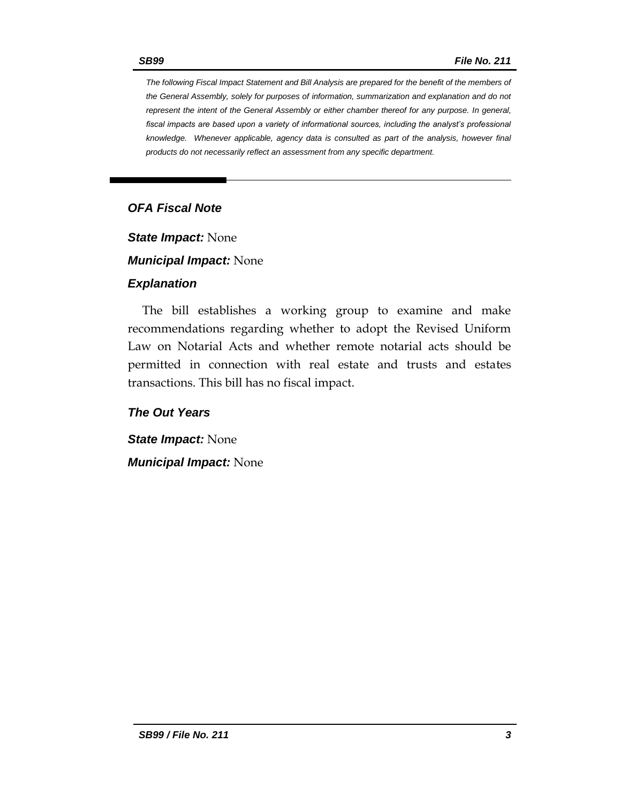*The following Fiscal Impact Statement and Bill Analysis are prepared for the benefit of the members of the General Assembly, solely for purposes of information, summarization and explanation and do not represent the intent of the General Assembly or either chamber thereof for any purpose. In general, fiscal impacts are based upon a variety of informational sources, including the analyst's professional knowledge. Whenever applicable, agency data is consulted as part of the analysis, however final products do not necessarily reflect an assessment from any specific department.*

# *OFA Fiscal Note*

*State Impact:* None

*Municipal Impact:* None

### *Explanation*

The bill establishes a working group to examine and make recommendations regarding whether to adopt the Revised Uniform Law on Notarial Acts and whether remote notarial acts should be permitted in connection with real estate and trusts and estates transactions. This bill has no fiscal impact.

*The Out Years*

*State Impact:* None *Municipal Impact:* None